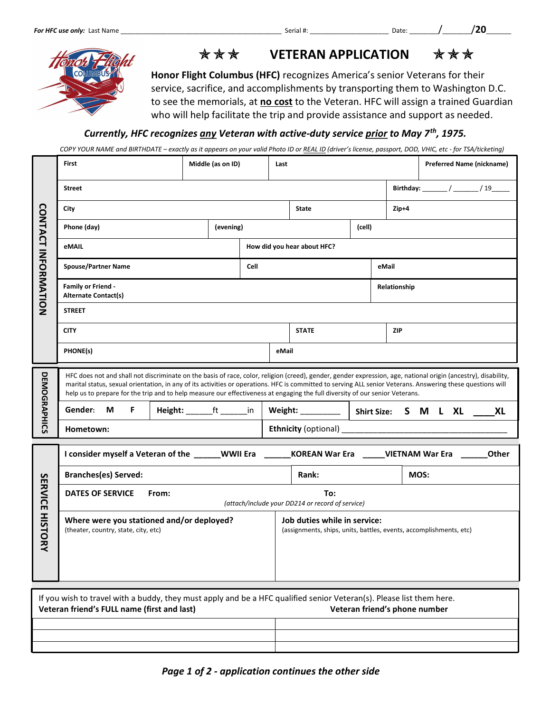

**★★★** VETERAN APPLICATION ★★★

Honor Flight Columbus (HFC) recognizes America's senior Veterans for their service, sacrifice, and accomplishments by transporting them to Washington D.C. to see the memorials, at no cost to the Veteran. HFC will assign a trained Guardian who will help facilitate the trip and provide assistance and support as needed.

## Currently, HFC recognizes any Veteran with active-duty service prior to May 7<sup>th</sup>, 1975.

COPY YOUR NAME and BIRTHDATE – exactly as it appears on your valid Photo ID or REAL ID (driver's license, passport, DOD, VHIC, etc - for TSA/ticketing)

| <b>CONTACT INFORMATION</b>                                                                                                                                                                           | First                                                                                                                                                                                                                                                                                                                                                                                                                                                                                                                                     | Middle (as on ID) |  | Last                                                                                               |              |  |            | <b>Preferred Name (nickname)</b> |  |  |
|------------------------------------------------------------------------------------------------------------------------------------------------------------------------------------------------------|-------------------------------------------------------------------------------------------------------------------------------------------------------------------------------------------------------------------------------------------------------------------------------------------------------------------------------------------------------------------------------------------------------------------------------------------------------------------------------------------------------------------------------------------|-------------------|--|----------------------------------------------------------------------------------------------------|--------------|--|------------|----------------------------------|--|--|
|                                                                                                                                                                                                      | Birthday: _______ / ______ / 19_____<br><b>Street</b>                                                                                                                                                                                                                                                                                                                                                                                                                                                                                     |                   |  |                                                                                                    |              |  |            |                                  |  |  |
|                                                                                                                                                                                                      | City                                                                                                                                                                                                                                                                                                                                                                                                                                                                                                                                      |                   |  |                                                                                                    | State        |  |            | $Zip+4$                          |  |  |
|                                                                                                                                                                                                      | Phone (day)<br>(evening)                                                                                                                                                                                                                                                                                                                                                                                                                                                                                                                  |                   |  | (cell)                                                                                             |              |  |            |                                  |  |  |
|                                                                                                                                                                                                      | eMAIL                                                                                                                                                                                                                                                                                                                                                                                                                                                                                                                                     |                   |  | How did you hear about HFC?                                                                        |              |  |            |                                  |  |  |
|                                                                                                                                                                                                      | <b>Spouse/Partner Name</b><br>Cell                                                                                                                                                                                                                                                                                                                                                                                                                                                                                                        |                   |  |                                                                                                    |              |  | eMail      |                                  |  |  |
|                                                                                                                                                                                                      | <b>Family or Friend -</b><br><b>Alternate Contact(s)</b>                                                                                                                                                                                                                                                                                                                                                                                                                                                                                  |                   |  |                                                                                                    |              |  |            | Relationship                     |  |  |
|                                                                                                                                                                                                      | <b>STREET</b>                                                                                                                                                                                                                                                                                                                                                                                                                                                                                                                             |                   |  |                                                                                                    |              |  |            |                                  |  |  |
|                                                                                                                                                                                                      | <b>CITY</b>                                                                                                                                                                                                                                                                                                                                                                                                                                                                                                                               |                   |  |                                                                                                    | <b>STATE</b> |  | <b>ZIP</b> |                                  |  |  |
|                                                                                                                                                                                                      | PHONE(s)                                                                                                                                                                                                                                                                                                                                                                                                                                                                                                                                  |                   |  |                                                                                                    | eMail        |  |            |                                  |  |  |
| <b>DEMOGRAPHICS</b>                                                                                                                                                                                  | HFC does not and shall not discriminate on the basis of race, color, religion (creed), gender, gender expression, age, national origin (ancestry), disability,<br>marital status, sexual orientation, in any of its activities or operations. HFC is committed to serving ALL senior Veterans. Answering these questions will<br>help us to prepare for the trip and to help measure our effectiveness at engaging the full diversity of our senior Veterans.<br>Height: _______ft ________in   Weight: __________   Shirt Size: S M L XL |                   |  |                                                                                                    |              |  |            |                                  |  |  |
|                                                                                                                                                                                                      | Gender: M<br>F.                                                                                                                                                                                                                                                                                                                                                                                                                                                                                                                           |                   |  |                                                                                                    |              |  | XL         |                                  |  |  |
|                                                                                                                                                                                                      | Hometown:                                                                                                                                                                                                                                                                                                                                                                                                                                                                                                                                 |                   |  |                                                                                                    |              |  |            |                                  |  |  |
|                                                                                                                                                                                                      | I consider myself a Veteran of the ______WWII Era ______KOREAN War Era _____VIETNAM War Era _____<br>Other                                                                                                                                                                                                                                                                                                                                                                                                                                |                   |  |                                                                                                    |              |  |            |                                  |  |  |
|                                                                                                                                                                                                      | <b>Branches(es) Served:</b>                                                                                                                                                                                                                                                                                                                                                                                                                                                                                                               |                   |  | Rank:                                                                                              |              |  |            | MOS:                             |  |  |
| <b>SERVICE</b><br><b>HISTORY</b>                                                                                                                                                                     | <b>DATES OF SERVICE</b><br>From:<br>To:<br>(attach/include your DD214 or record of service)                                                                                                                                                                                                                                                                                                                                                                                                                                               |                   |  |                                                                                                    |              |  |            |                                  |  |  |
|                                                                                                                                                                                                      | Where were you stationed and/or deployed?<br>(theater, country, state, city, etc)                                                                                                                                                                                                                                                                                                                                                                                                                                                         |                   |  | Job duties while in service:<br>(assignments, ships, units, battles, events, accomplishments, etc) |              |  |            |                                  |  |  |
| If you wish to travel with a buddy, they must apply and be a HFC qualified senior Veteran(s). Please list them here.<br>Veteran friend's FULL name (first and last)<br>Veteran friend's phone number |                                                                                                                                                                                                                                                                                                                                                                                                                                                                                                                                           |                   |  |                                                                                                    |              |  |            |                                  |  |  |
|                                                                                                                                                                                                      |                                                                                                                                                                                                                                                                                                                                                                                                                                                                                                                                           |                   |  |                                                                                                    |              |  |            |                                  |  |  |